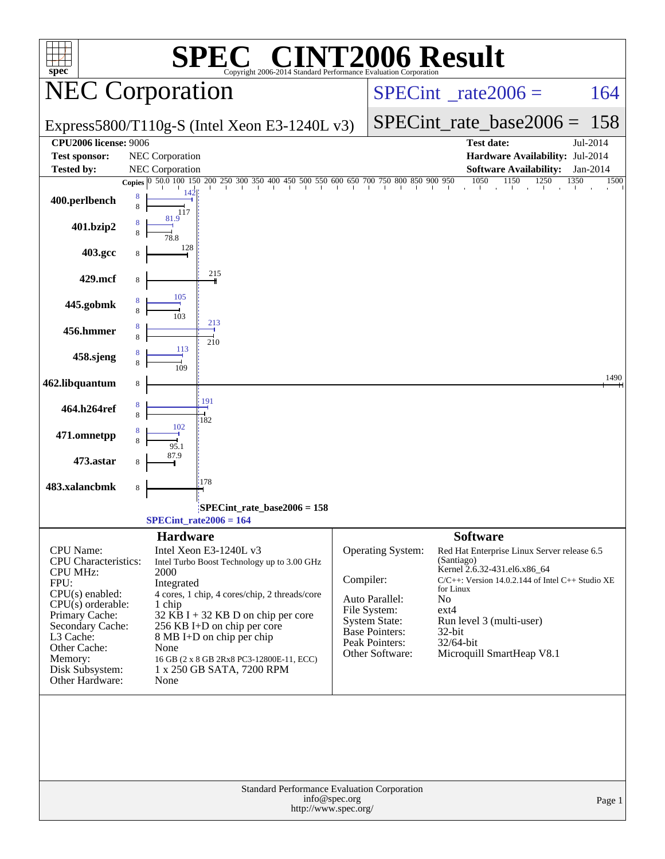| spec <sup>®</sup>                              | <b>SPEC® C</b><br>Copyright 2006-2014 Standard Performance Evaluation Corporation                                                                                                       | <b>INT2006 Result</b>                    |                                                                |      |  |  |  |  |
|------------------------------------------------|-----------------------------------------------------------------------------------------------------------------------------------------------------------------------------------------|------------------------------------------|----------------------------------------------------------------|------|--|--|--|--|
|                                                | <b>NEC Corporation</b>                                                                                                                                                                  |                                          | $SPECint^{\circ}$ rate $2006 =$<br>164                         |      |  |  |  |  |
|                                                | Express5800/T110g-S (Intel Xeon E3-1240L v3)                                                                                                                                            |                                          | $SPECint_rate\_base2006 =$<br>158                              |      |  |  |  |  |
| <b>CPU2006 license: 9006</b>                   |                                                                                                                                                                                         |                                          | <b>Test date:</b><br>Jul-2014                                  |      |  |  |  |  |
| <b>Test sponsor:</b>                           | NEC Corporation                                                                                                                                                                         |                                          | Hardware Availability: Jul-2014                                |      |  |  |  |  |
| <b>Tested by:</b>                              | NEC Corporation                                                                                                                                                                         |                                          | <b>Software Availability:</b><br>Jan-2014                      |      |  |  |  |  |
|                                                | <b>Copies</b> $\begin{bmatrix} 0 & 50.0 & 100 & 150 & 200 & 250 & 300 & 350 & 400 & 450 & 500 & 550 & 600 & 650 & 700 & 750 & 800 & 850 & 900 & 950 & 1050 & 1150 & 1250 \end{bmatrix}$ |                                          | 1350                                                           | 1500 |  |  |  |  |
| 400.perlbench                                  | 8<br>8<br>117                                                                                                                                                                           |                                          |                                                                |      |  |  |  |  |
| 401.bzip2                                      | 81.9                                                                                                                                                                                    |                                          |                                                                |      |  |  |  |  |
| 403.gcc                                        | 128                                                                                                                                                                                     |                                          |                                                                |      |  |  |  |  |
| 429.mcf                                        | 215<br>8                                                                                                                                                                                |                                          |                                                                |      |  |  |  |  |
| 445.gobmk                                      | 105<br>103                                                                                                                                                                              |                                          |                                                                |      |  |  |  |  |
| 456.hmmer                                      | 213<br>210<br>113                                                                                                                                                                       |                                          |                                                                |      |  |  |  |  |
| 458.sjeng                                      | 109                                                                                                                                                                                     |                                          |                                                                |      |  |  |  |  |
| 462.libquantum                                 | 8<br>191                                                                                                                                                                                |                                          |                                                                | 1490 |  |  |  |  |
| 464.h264ref                                    | 182                                                                                                                                                                                     |                                          |                                                                |      |  |  |  |  |
| 471.omnetpp                                    | 95.1                                                                                                                                                                                    |                                          |                                                                |      |  |  |  |  |
| 473.astar                                      | 178                                                                                                                                                                                     |                                          |                                                                |      |  |  |  |  |
| 483.xalancbmk                                  | 8                                                                                                                                                                                       |                                          |                                                                |      |  |  |  |  |
|                                                | SPECint_rate_base2006 = 158                                                                                                                                                             |                                          |                                                                |      |  |  |  |  |
|                                                | $SPECint_rate2006 = 164$                                                                                                                                                                |                                          |                                                                |      |  |  |  |  |
| <b>CPU</b> Name:                               | <b>Hardware</b><br>Intel Xeon E3-1240L v3                                                                                                                                               | Operating System:                        | <b>Software</b><br>Red Hat Enterprise Linux Server release 6.5 |      |  |  |  |  |
| <b>CPU</b> Characteristics:<br><b>CPU MHz:</b> | Intel Turbo Boost Technology up to 3.00 GHz<br>2000                                                                                                                                     | (Santiago)                               | Kernel 2.6.32-431.el6.x86_64                                   |      |  |  |  |  |
| FPU:                                           | Integrated                                                                                                                                                                              | Compiler:                                | $C/C++$ : Version 14.0.2.144 of Intel $C++$ Studio XE          |      |  |  |  |  |
| $CPU(s)$ enabled:                              | 4 cores, 1 chip, 4 cores/chip, 2 threads/core                                                                                                                                           | for Linux<br>Auto Parallel:<br>No        |                                                                |      |  |  |  |  |
| $CPU(s)$ orderable:<br>Primary Cache:          | 1 chip<br>$32$ KB I + 32 KB D on chip per core                                                                                                                                          | File System:<br>$ext{4}$                 |                                                                |      |  |  |  |  |
| Secondary Cache:                               | 256 KB I+D on chip per core                                                                                                                                                             | System State:<br><b>Base Pointers:</b>   | Run level 3 (multi-user)                                       |      |  |  |  |  |
| L3 Cache:                                      | 8 MB I+D on chip per chip                                                                                                                                                               | 32-bit<br>Peak Pointers:<br>$32/64$ -bit |                                                                |      |  |  |  |  |
| Other Cache:<br>Memory:                        | None<br>16 GB (2 x 8 GB 2Rx8 PC3-12800E-11, ECC)                                                                                                                                        | Other Software:                          | Microquill SmartHeap V8.1                                      |      |  |  |  |  |
| Disk Subsystem:<br>Other Hardware:             | 1 x 250 GB SATA, 7200 RPM<br>None                                                                                                                                                       |                                          |                                                                |      |  |  |  |  |
|                                                |                                                                                                                                                                                         |                                          |                                                                |      |  |  |  |  |
|                                                | Standard Performance Evaluation Corporation<br>info@spec.org<br>http://www.spec.org/                                                                                                    |                                          | Page 1                                                         |      |  |  |  |  |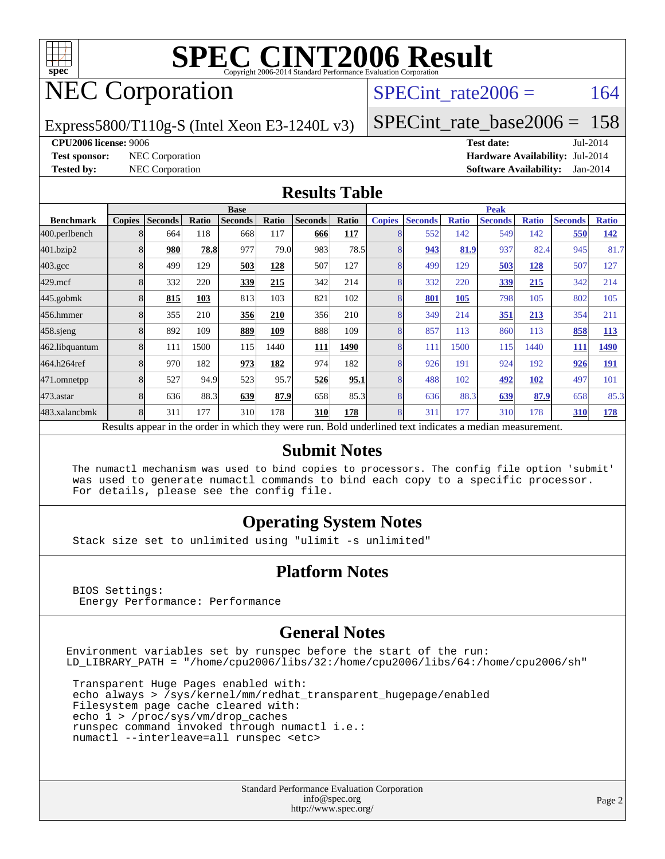

# **[SPEC CINT2006 Result](http://www.spec.org/auto/cpu2006/Docs/result-fields.html#SPECCINT2006Result)**

# NEC Corporation

SPECint rate $2006 = 164$ 

Express5800/T110g-S (Intel Xeon E3-1240L v3)

[SPECint\\_rate\\_base2006 =](http://www.spec.org/auto/cpu2006/Docs/result-fields.html#SPECintratebase2006) 158

**[CPU2006 license:](http://www.spec.org/auto/cpu2006/Docs/result-fields.html#CPU2006license)** 9006 **[Test date:](http://www.spec.org/auto/cpu2006/Docs/result-fields.html#Testdate)** Jul-2014 **[Test sponsor:](http://www.spec.org/auto/cpu2006/Docs/result-fields.html#Testsponsor)** NEC Corporation **[Hardware Availability:](http://www.spec.org/auto/cpu2006/Docs/result-fields.html#HardwareAvailability)** Jul-2014 **[Tested by:](http://www.spec.org/auto/cpu2006/Docs/result-fields.html#Testedby)** NEC Corporation **[Software Availability:](http://www.spec.org/auto/cpu2006/Docs/result-fields.html#SoftwareAvailability)** Jan-2014

#### **[Results Table](http://www.spec.org/auto/cpu2006/Docs/result-fields.html#ResultsTable)**

|                                                                                                          | <b>Base</b>   |                |       |                |       |                | <b>Peak</b> |               |                |              |                |              |                |              |
|----------------------------------------------------------------------------------------------------------|---------------|----------------|-------|----------------|-------|----------------|-------------|---------------|----------------|--------------|----------------|--------------|----------------|--------------|
| <b>Benchmark</b>                                                                                         | <b>Copies</b> | <b>Seconds</b> | Ratio | <b>Seconds</b> | Ratio | <b>Seconds</b> | Ratio       | <b>Copies</b> | <b>Seconds</b> | <b>Ratio</b> | <b>Seconds</b> | <b>Ratio</b> | <b>Seconds</b> | <b>Ratio</b> |
| 400.perlbench                                                                                            |               | 664            | 118   | 668            | 117   | 666            | 117         |               | 552            | 142          | 549            | 142          | 550            | 142          |
| 401.bzip2                                                                                                |               | 980            | 78.8  | 977            | 79.0  | 983            | 78.5        |               | 943            | 81.9         | 937            | 82.4         | 945            | 81.7         |
| $403.\text{gcc}$                                                                                         |               | 499            | 129   | 503            | 128   | 507            | 127         |               | 499            | 129          | 503            | 128          | 507            | 127          |
| $429$ .mcf                                                                                               |               | 332            | 220   | 339            | 215   | 342            | 214         |               | 332            | 220          | 339            | 215          | 342            | 214          |
| $445$ .gobmk                                                                                             |               | 815            | 103   | 813            | 103   | 821            | 102         |               | 801            | 105          | 798            | 105          | 802            | 105          |
| 456.hmmer                                                                                                |               | 355            | 210   | 356            | 210   | 356            | 210         |               | 349            | 214          | 351            | 213          | 354            | 211          |
| $458$ .sjeng                                                                                             |               | 892            | 109   | 889            | 109   | 888            | 109         |               | 857            | 113          | 860            | 113          | 858            | <b>113</b>   |
| 462.libquantum                                                                                           |               | 111            | 1500  | 115            | 1440  | 111            | 1490        |               | 111            | 1500         | 115            | 1440         | 111            | <b>1490</b>  |
| 464.h264ref                                                                                              |               | 970            | 182   | 973            | 182   | 974            | 182         |               | 926            | 191          | 924            | 192          | 926            | <b>191</b>   |
| 471.omnetpp                                                                                              |               | 527            | 94.9  | 523            | 95.7  | 526            | 95.1        |               | 488            | 102          | 492            | 102          | 497            | 101          |
| 473.astar                                                                                                |               | 636            | 88.3  | 639            | 87.9  | 658            | 85.3        | 8             | 636            | 88.3         | 639            | 87.9         | 658            | 85.3         |
| 483.xalancbmk                                                                                            |               | 311            | 177   | 310            | 178   | 310            | 178         |               | 311            | 177          | 310            | 178          | 310            | 178          |
| Results appear in the order in which they were run. Bold underlined text indicates a median measurement. |               |                |       |                |       |                |             |               |                |              |                |              |                |              |

#### **[Submit Notes](http://www.spec.org/auto/cpu2006/Docs/result-fields.html#SubmitNotes)**

 The numactl mechanism was used to bind copies to processors. The config file option 'submit' was used to generate numactl commands to bind each copy to a specific processor. For details, please see the config file.

#### **[Operating System Notes](http://www.spec.org/auto/cpu2006/Docs/result-fields.html#OperatingSystemNotes)**

Stack size set to unlimited using "ulimit -s unlimited"

#### **[Platform Notes](http://www.spec.org/auto/cpu2006/Docs/result-fields.html#PlatformNotes)**

 BIOS Settings: Energy Performance: Performance

#### **[General Notes](http://www.spec.org/auto/cpu2006/Docs/result-fields.html#GeneralNotes)**

Environment variables set by runspec before the start of the run: LD\_LIBRARY\_PATH = "/home/cpu2006/libs/32:/home/cpu2006/libs/64:/home/cpu2006/sh"

 Transparent Huge Pages enabled with: echo always > /sys/kernel/mm/redhat\_transparent\_hugepage/enabled Filesystem page cache cleared with: echo 1 > /proc/sys/vm/drop\_caches runspec command invoked through numactl i.e.: numactl --interleave=all runspec <etc>

> Standard Performance Evaluation Corporation [info@spec.org](mailto:info@spec.org) <http://www.spec.org/>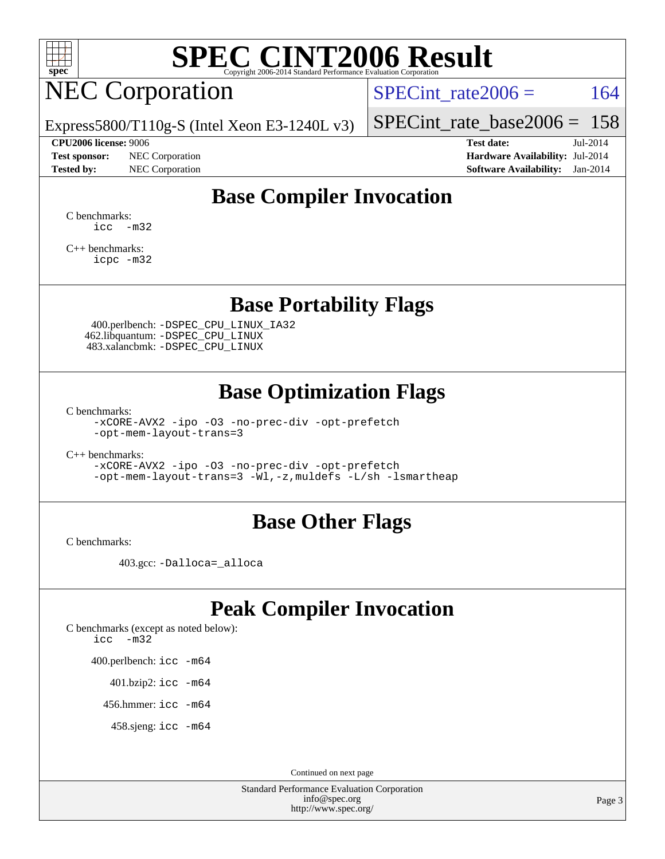

# **[SPEC CINT2006 Result](http://www.spec.org/auto/cpu2006/Docs/result-fields.html#SPECCINT2006Result)**

# NEC Corporation

SPECint rate $2006 = 164$ 

Express5800/T110g-S (Intel Xeon E3-1240L v3)

#### **[CPU2006 license:](http://www.spec.org/auto/cpu2006/Docs/result-fields.html#CPU2006license)** 9006 **[Test date:](http://www.spec.org/auto/cpu2006/Docs/result-fields.html#Testdate)** Jul-2014

**[Test sponsor:](http://www.spec.org/auto/cpu2006/Docs/result-fields.html#Testsponsor)** NEC Corporation **[Hardware Availability:](http://www.spec.org/auto/cpu2006/Docs/result-fields.html#HardwareAvailability)** Jul-2014

[SPECint\\_rate\\_base2006 =](http://www.spec.org/auto/cpu2006/Docs/result-fields.html#SPECintratebase2006) 158

**[Tested by:](http://www.spec.org/auto/cpu2006/Docs/result-fields.html#Testedby)** NEC Corporation **[Software Availability:](http://www.spec.org/auto/cpu2006/Docs/result-fields.html#SoftwareAvailability)** Jan-2014

## **[Base Compiler Invocation](http://www.spec.org/auto/cpu2006/Docs/result-fields.html#BaseCompilerInvocation)**

[C benchmarks](http://www.spec.org/auto/cpu2006/Docs/result-fields.html#Cbenchmarks): [icc -m32](http://www.spec.org/cpu2006/results/res2014q3/cpu2006-20140806-30795.flags.html#user_CCbase_intel_icc_5ff4a39e364c98233615fdd38438c6f2)

[C++ benchmarks:](http://www.spec.org/auto/cpu2006/Docs/result-fields.html#CXXbenchmarks) [icpc -m32](http://www.spec.org/cpu2006/results/res2014q3/cpu2006-20140806-30795.flags.html#user_CXXbase_intel_icpc_4e5a5ef1a53fd332b3c49e69c3330699)

### **[Base Portability Flags](http://www.spec.org/auto/cpu2006/Docs/result-fields.html#BasePortabilityFlags)**

 400.perlbench: [-DSPEC\\_CPU\\_LINUX\\_IA32](http://www.spec.org/cpu2006/results/res2014q3/cpu2006-20140806-30795.flags.html#b400.perlbench_baseCPORTABILITY_DSPEC_CPU_LINUX_IA32) 462.libquantum: [-DSPEC\\_CPU\\_LINUX](http://www.spec.org/cpu2006/results/res2014q3/cpu2006-20140806-30795.flags.html#b462.libquantum_baseCPORTABILITY_DSPEC_CPU_LINUX) 483.xalancbmk: [-DSPEC\\_CPU\\_LINUX](http://www.spec.org/cpu2006/results/res2014q3/cpu2006-20140806-30795.flags.html#b483.xalancbmk_baseCXXPORTABILITY_DSPEC_CPU_LINUX)

### **[Base Optimization Flags](http://www.spec.org/auto/cpu2006/Docs/result-fields.html#BaseOptimizationFlags)**

[C benchmarks](http://www.spec.org/auto/cpu2006/Docs/result-fields.html#Cbenchmarks):

[-xCORE-AVX2](http://www.spec.org/cpu2006/results/res2014q3/cpu2006-20140806-30795.flags.html#user_CCbase_f-xAVX2_5f5fc0cbe2c9f62c816d3e45806c70d7) [-ipo](http://www.spec.org/cpu2006/results/res2014q3/cpu2006-20140806-30795.flags.html#user_CCbase_f-ipo) [-O3](http://www.spec.org/cpu2006/results/res2014q3/cpu2006-20140806-30795.flags.html#user_CCbase_f-O3) [-no-prec-div](http://www.spec.org/cpu2006/results/res2014q3/cpu2006-20140806-30795.flags.html#user_CCbase_f-no-prec-div) [-opt-prefetch](http://www.spec.org/cpu2006/results/res2014q3/cpu2006-20140806-30795.flags.html#user_CCbase_f-opt-prefetch) [-opt-mem-layout-trans=3](http://www.spec.org/cpu2006/results/res2014q3/cpu2006-20140806-30795.flags.html#user_CCbase_f-opt-mem-layout-trans_a7b82ad4bd7abf52556d4961a2ae94d5)

[C++ benchmarks:](http://www.spec.org/auto/cpu2006/Docs/result-fields.html#CXXbenchmarks)

[-xCORE-AVX2](http://www.spec.org/cpu2006/results/res2014q3/cpu2006-20140806-30795.flags.html#user_CXXbase_f-xAVX2_5f5fc0cbe2c9f62c816d3e45806c70d7) [-ipo](http://www.spec.org/cpu2006/results/res2014q3/cpu2006-20140806-30795.flags.html#user_CXXbase_f-ipo) [-O3](http://www.spec.org/cpu2006/results/res2014q3/cpu2006-20140806-30795.flags.html#user_CXXbase_f-O3) [-no-prec-div](http://www.spec.org/cpu2006/results/res2014q3/cpu2006-20140806-30795.flags.html#user_CXXbase_f-no-prec-div) [-opt-prefetch](http://www.spec.org/cpu2006/results/res2014q3/cpu2006-20140806-30795.flags.html#user_CXXbase_f-opt-prefetch) [-opt-mem-layout-trans=3](http://www.spec.org/cpu2006/results/res2014q3/cpu2006-20140806-30795.flags.html#user_CXXbase_f-opt-mem-layout-trans_a7b82ad4bd7abf52556d4961a2ae94d5) [-Wl,-z,muldefs](http://www.spec.org/cpu2006/results/res2014q3/cpu2006-20140806-30795.flags.html#user_CXXbase_link_force_multiple1_74079c344b956b9658436fd1b6dd3a8a) [-L/sh -lsmartheap](http://www.spec.org/cpu2006/results/res2014q3/cpu2006-20140806-30795.flags.html#user_CXXbase_SmartHeap_32f6c82aa1ed9c52345d30cf6e4a0499)

### **[Base Other Flags](http://www.spec.org/auto/cpu2006/Docs/result-fields.html#BaseOtherFlags)**

[C benchmarks](http://www.spec.org/auto/cpu2006/Docs/result-fields.html#Cbenchmarks):

403.gcc: [-Dalloca=\\_alloca](http://www.spec.org/cpu2006/results/res2014q3/cpu2006-20140806-30795.flags.html#b403.gcc_baseEXTRA_CFLAGS_Dalloca_be3056838c12de2578596ca5467af7f3)

## **[Peak Compiler Invocation](http://www.spec.org/auto/cpu2006/Docs/result-fields.html#PeakCompilerInvocation)**

[C benchmarks \(except as noted below\)](http://www.spec.org/auto/cpu2006/Docs/result-fields.html#Cbenchmarksexceptasnotedbelow): [icc -m32](http://www.spec.org/cpu2006/results/res2014q3/cpu2006-20140806-30795.flags.html#user_CCpeak_intel_icc_5ff4a39e364c98233615fdd38438c6f2)

400.perlbench: [icc -m64](http://www.spec.org/cpu2006/results/res2014q3/cpu2006-20140806-30795.flags.html#user_peakCCLD400_perlbench_intel_icc_64bit_bda6cc9af1fdbb0edc3795bac97ada53)

401.bzip2: [icc -m64](http://www.spec.org/cpu2006/results/res2014q3/cpu2006-20140806-30795.flags.html#user_peakCCLD401_bzip2_intel_icc_64bit_bda6cc9af1fdbb0edc3795bac97ada53)

456.hmmer: [icc -m64](http://www.spec.org/cpu2006/results/res2014q3/cpu2006-20140806-30795.flags.html#user_peakCCLD456_hmmer_intel_icc_64bit_bda6cc9af1fdbb0edc3795bac97ada53)

458.sjeng: [icc -m64](http://www.spec.org/cpu2006/results/res2014q3/cpu2006-20140806-30795.flags.html#user_peakCCLD458_sjeng_intel_icc_64bit_bda6cc9af1fdbb0edc3795bac97ada53)

Continued on next page

Standard Performance Evaluation Corporation [info@spec.org](mailto:info@spec.org) <http://www.spec.org/>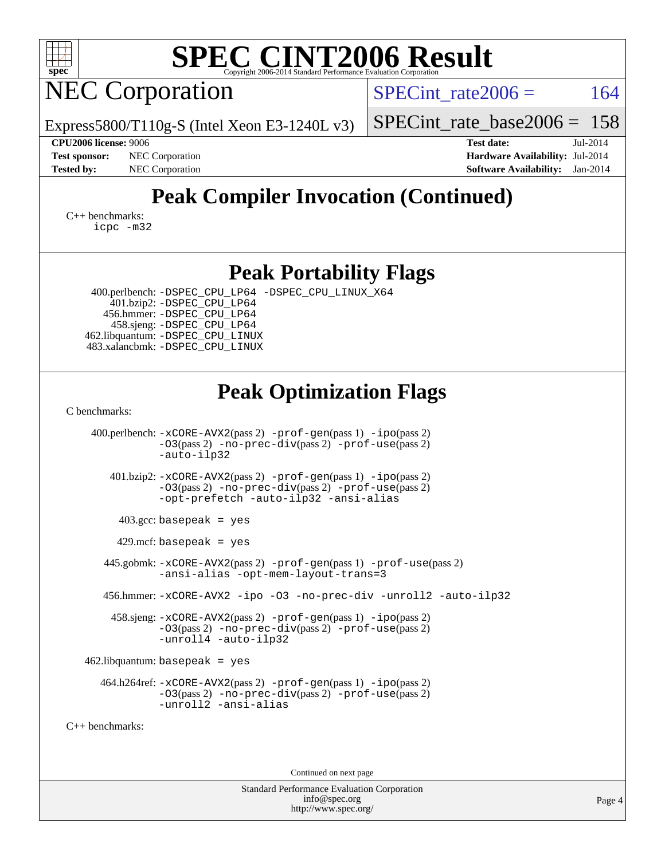